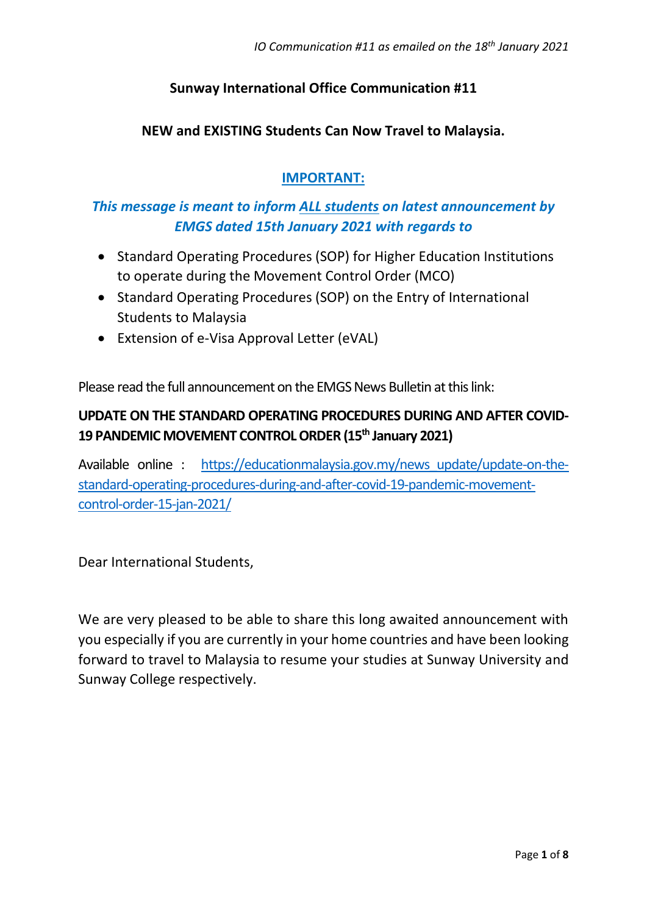## **Sunway International Office Communication #11**

#### **NEW and EXISTING Students Can Now Travel to Malaysia.**

### **IMPORTANT:**

## *This message is meant to inform ALL students on latest announcement by EMGS dated 15th January 2021 with regards to*

- Standard Operating Procedures (SOP) for Higher Education Institutions to operate during the Movement Control Order (MCO)
- Standard Operating Procedures (SOP) on the Entry of International Students to Malaysia
- Extension of e-Visa Approval Letter (eVAL)

Please read the full announcement on the EMGS News Bulletin at this link:

## **UPDATE ON THE STANDARD OPERATING PROCEDURES DURING AND AFTER COVID-19 PANDEMIC MOVEMENT CONTROL ORDER (15th January 2021)**

Available online : https://educationmalaysia.gov.my/news update/update-on-the[standard-operating-procedures-during-and-after-covid-19-pandemic-movement](https://educationmalaysia.gov.my/news_update/update-on-the-standard-operating-procedures-during-and-after-covid-19-pandemic-movement-control-order-15-jan-2021/)[control-order-15-jan-2021/](https://educationmalaysia.gov.my/news_update/update-on-the-standard-operating-procedures-during-and-after-covid-19-pandemic-movement-control-order-15-jan-2021/)

Dear International Students,

We are very pleased to be able to share this long awaited announcement with you especially if you are currently in your home countries and have been looking forward to travel to Malaysia to resume your studies at Sunway University and Sunway College respectively.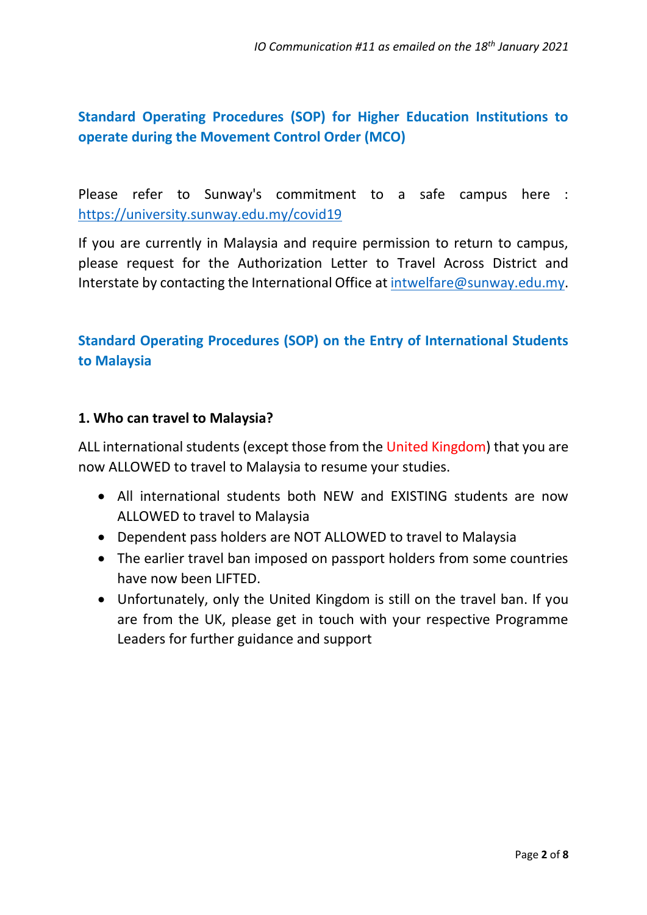# **Standard Operating Procedures (SOP) for Higher Education Institutions to operate during the Movement Control Order (MCO)**

Please refer to Sunway's commitment to a safe campus here : <https://university.sunway.edu.my/covid19>

If you are currently in Malaysia and require permission to return to campus, please request for the Authorization Letter to Travel Across District and Interstate by contacting the International Office at [intwelfare@sunway.edu.my.](mailto:intwelfare@sunway.edu.my)

# **Standard Operating Procedures (SOP) on the Entry of International Students to Malaysia**

### **1. Who can travel to Malaysia?**

ALL international students (except those from the United Kingdom) that you are now ALLOWED to travel to Malaysia to resume your studies.

- All international students both NEW and EXISTING students are now ALLOWED to travel to Malaysia
- Dependent pass holders are NOT ALLOWED to travel to Malaysia
- The earlier travel ban imposed on passport holders from some countries have now been LIFTED.
- Unfortunately, only the United Kingdom is still on the travel ban. If you are from the UK, please get in touch with your respective Programme Leaders for further guidance and support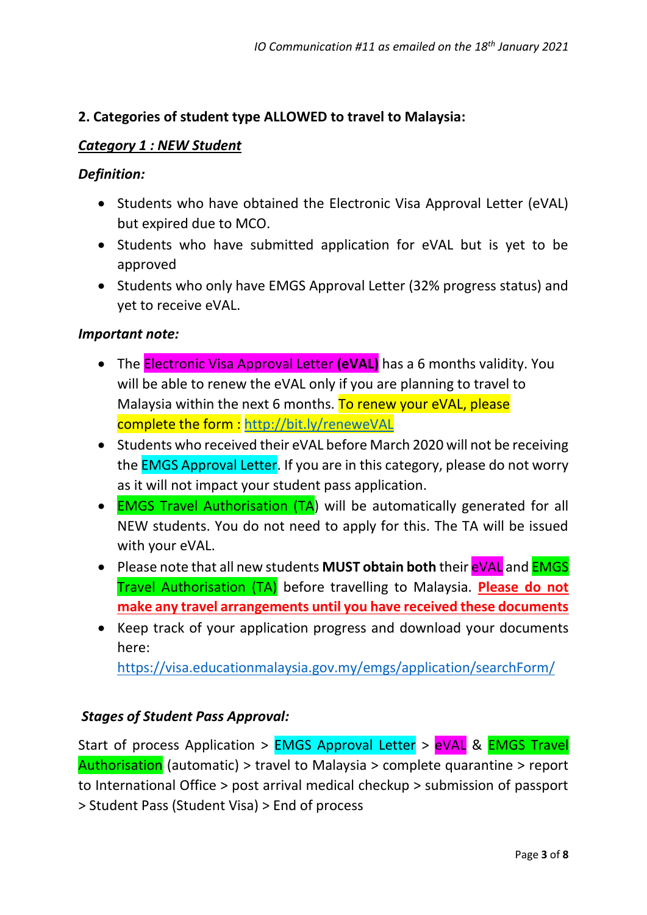### **2. Categories of student type ALLOWED to travel to Malaysia:**

#### *Category 1 : NEW Student*

#### *Definition:*

- Students who have obtained the Electronic Visa Approval Letter (eVAL) but expired due to MCO.
- Students who have submitted application for eVAL but is yet to be approved
- Students who only have EMGS Approval Letter (32% progress status) and yet to receive eVAL.

#### *Important note:*

- The Electronic Visa Approval Letter **(eVAL)** has a 6 months validity. You will be able to renew the eVAL only if you are planning to travel to Malaysia within the next 6 months. To renew your eVAL, please complete the form : <http://bit.ly/reneweVAL>
- Students who received their eVAL before March 2020 will not be receiving the EMGS Approval Letter. If you are in this category, please do not worry as it will not impact your student pass application.
- **EMGS Travel Authorisation (TA)** will be automatically generated for all NEW students. You do not need to apply for this. The TA will be issued with your eVAL.
- Please note that all new students **MUST obtain both** their eVAL and EMGS Travel Authorisation (TA) before travelling to Malaysia. **Please do not make any travel arrangements until you have received these documents**
- Keep track of your application progress and download your documents here:

<https://visa.educationmalaysia.gov.my/emgs/application/searchForm/>

#### *Stages of Student Pass Approval:*

Start of process Application > EMGS Approval Letter > eVAL & EMGS Travel Authorisation (automatic) > travel to Malaysia > complete quarantine > report to International Office > post arrival medical checkup > submission of passport > Student Pass (Student Visa) > End of process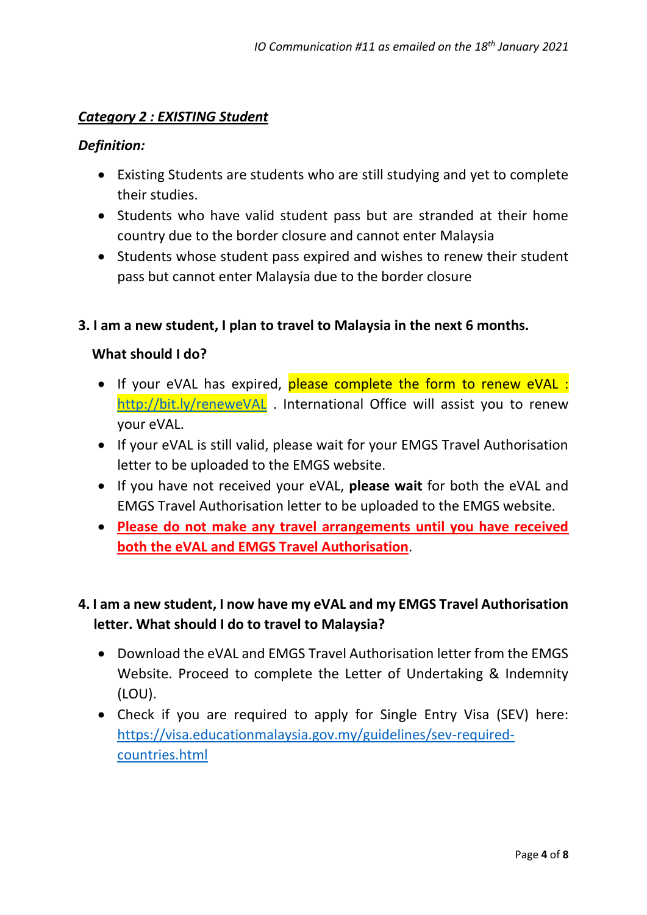#### *Category 2 : EXISTING Student*

#### *Definition:*

- Existing Students are students who are still studying and yet to complete their studies.
- Students who have valid student pass but are stranded at their home country due to the border closure and cannot enter Malaysia
- Students whose student pass expired and wishes to renew their student pass but cannot enter Malaysia due to the border closure

#### **3. I am a new student, I plan to travel to Malaysia in the next 6 months.**

#### **What should I do?**

- If your eVAL has expired, please complete the form to renew eVAL : <http://bit.ly/reneweVAL> . International Office will assist you to renew your eVAL.
- If your eVAL is still valid, please wait for your EMGS Travel Authorisation letter to be uploaded to the EMGS website.
- If you have not received your eVAL, **please wait** for both the eVAL and EMGS Travel Authorisation letter to be uploaded to the EMGS website.
- **Please do not make any travel arrangements until you have received both the eVAL and EMGS Travel Authorisation**.

## **4. I am a new student, I now have my eVAL and my EMGS Travel Authorisation letter. What should I do to travel to Malaysia?**

- Download the eVAL and EMGS Travel Authorisation letter from the EMGS Website. Proceed to complete the Letter of Undertaking & Indemnity (LOU).
- Check if you are required to apply for Single Entry Visa (SEV) here: [https://visa.educationmalaysia.gov.my/guidelines/sev-required](https://visa.educationmalaysia.gov.my/guidelines/sev-required-countries.html)[countries.html](https://visa.educationmalaysia.gov.my/guidelines/sev-required-countries.html)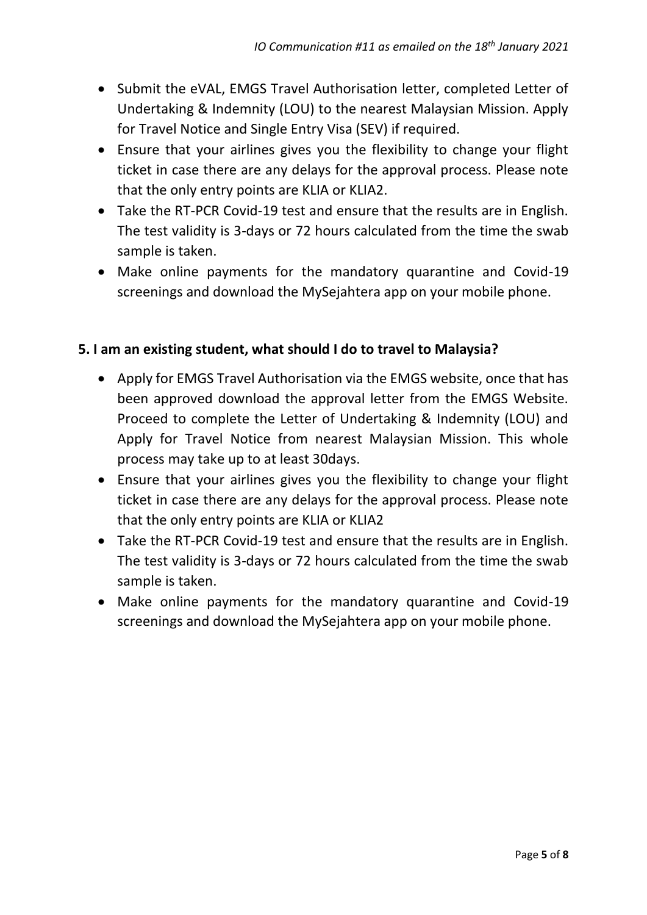- Submit the eVAL, EMGS Travel Authorisation letter, completed Letter of Undertaking & Indemnity (LOU) to the nearest Malaysian Mission. Apply for Travel Notice and Single Entry Visa (SEV) if required.
- Ensure that your airlines gives you the flexibility to change your flight ticket in case there are any delays for the approval process. Please note that the only entry points are KLIA or KLIA2.
- Take the RT-PCR Covid-19 test and ensure that the results are in English. The test validity is 3-days or 72 hours calculated from the time the swab sample is taken.
- Make online payments for the mandatory quarantine and Covid-19 screenings and download the MySejahtera app on your mobile phone.

### **5. I am an existing student, what should I do to travel to Malaysia?**

- Apply for EMGS Travel Authorisation via the EMGS website, once that has been approved download the approval letter from the EMGS Website. Proceed to complete the Letter of Undertaking & Indemnity (LOU) and Apply for Travel Notice from nearest Malaysian Mission. This whole process may take up to at least 30days.
- Ensure that your airlines gives you the flexibility to change your flight ticket in case there are any delays for the approval process. Please note that the only entry points are KLIA or KLIA2
- Take the RT-PCR Covid-19 test and ensure that the results are in English. The test validity is 3-days or 72 hours calculated from the time the swab sample is taken.
- Make online payments for the mandatory quarantine and Covid-19 screenings and download the MySejahtera app on your mobile phone.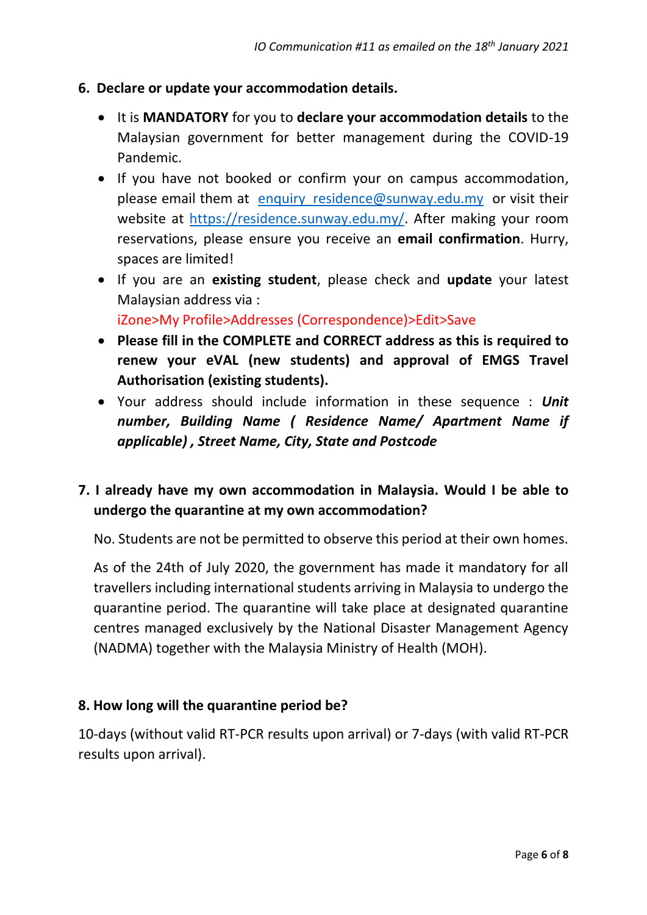### **6. Declare or update your accommodation details.**

- It is **MANDATORY** for you to **declare your accommodation details** to the Malaysian government for better management during the COVID-19 Pandemic.
- If you have not booked or confirm your on campus accommodation, please email them at enquiry residence@sunway.edu.my or visit their website at [https://residence.sunway.edu.my/.](https://residence.sunway.edu.my/) After making your room reservations, please ensure you receive an **email confirmation**. Hurry, spaces are limited!
- If you are an **existing student**, please check and **update** your latest Malaysian address via :

iZone>My Profile>Addresses (Correspondence)>Edit>Save

- **Please fill in the COMPLETE and CORRECT address as this is required to renew your eVAL (new students) and approval of EMGS Travel Authorisation (existing students).**
- Your address should include information in these sequence : *Unit number, Building Name ( Residence Name/ Apartment Name if applicable) , Street Name, City, State and Postcode*

## **7. I already have my own accommodation in Malaysia. Would I be able to undergo the quarantine at my own accommodation?**

No. Students are not be permitted to observe this period at their own homes.

As of the 24th of July 2020, the government has made it mandatory for all travellers including international students arriving in Malaysia to undergo the quarantine period. The quarantine will take place at designated quarantine centres managed exclusively by the National Disaster Management Agency (NADMA) together with the Malaysia Ministry of Health (MOH).

### **8. How long will the quarantine period be?**

10-days (without valid RT-PCR results upon arrival) or 7-days (with valid RT-PCR results upon arrival).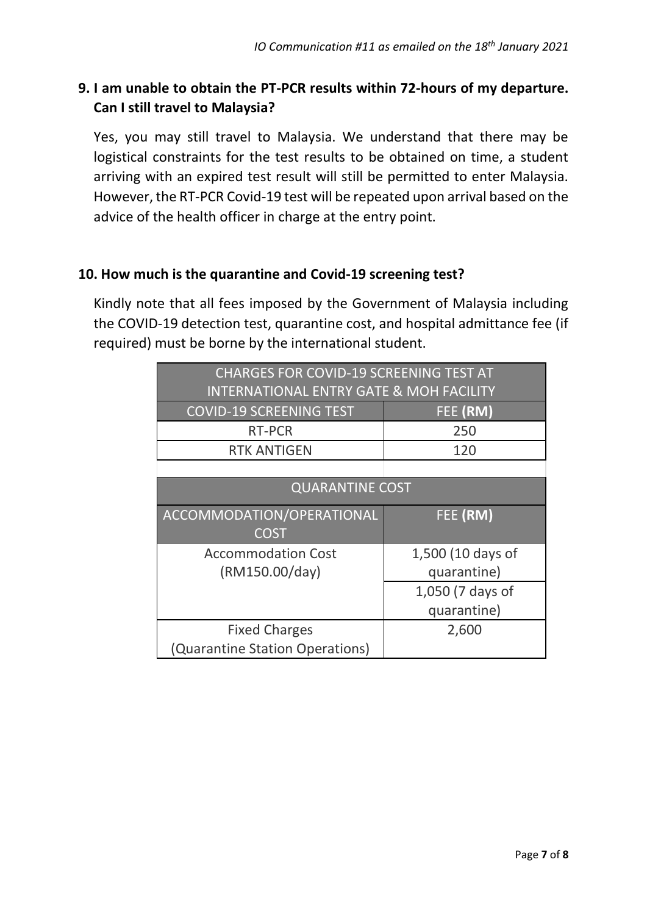# **9. I am unable to obtain the PT-PCR results within 72-hours of my departure. Can I still travel to Malaysia?**

Yes, you may still travel to Malaysia. We understand that there may be logistical constraints for the test results to be obtained on time, a student arriving with an expired test result will still be permitted to enter Malaysia. However, the RT-PCR Covid-19 test will be repeated upon arrival based on the advice of the health officer in charge at the entry point.

## **10. How much is the quarantine and Covid-19 screening test?**

Kindly note that all fees imposed by the Government of Malaysia including the COVID-19 detection test, quarantine cost, and hospital admittance fee (if required) must be borne by the international student.

| <b>CHARGES FOR COVID-19 SCREENING TEST AT</b>      |                   |
|----------------------------------------------------|-------------------|
| <b>INTERNATIONAL ENTRY GATE &amp; MOH FACILITY</b> |                   |
| <b>COVID-19 SCREENING TEST</b>                     | FEE (RM)          |
| <b>RT-PCR</b>                                      | 250               |
| <b>RTK ANTIGEN</b>                                 | 120               |
|                                                    |                   |
| <b>QUARANTINE COST</b>                             |                   |
| ACCOMMODATION/OPERATIONAL                          | FEE (RM)          |
| <b>COST</b>                                        |                   |
| <b>Accommodation Cost</b>                          | 1,500 (10 days of |
| (RM150.00/day)                                     | quarantine)       |
|                                                    | 1,050 (7 days of  |
|                                                    | quarantine)       |
| <b>Fixed Charges</b>                               | 2,600             |
| (Quarantine Station Operations)                    |                   |